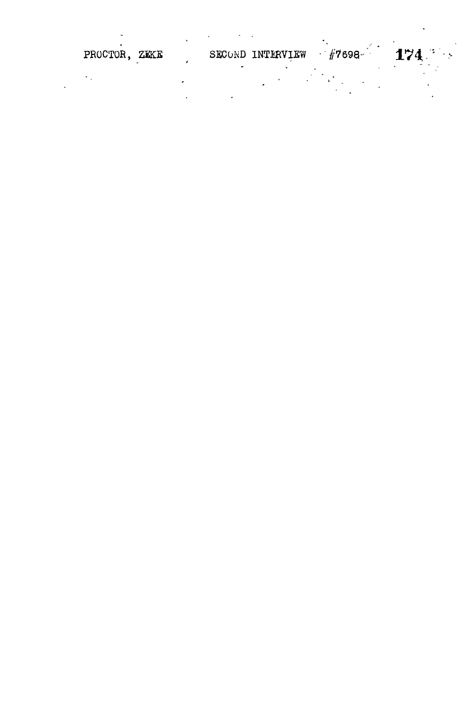| PROCTOR, ZEKE |  | SECOND INTERVIEW | $\frac{1}{2}$ $\frac{1}{4}$ 7698 | $174 -$ |
|---------------|--|------------------|----------------------------------|---------|
|               |  |                  |                                  |         |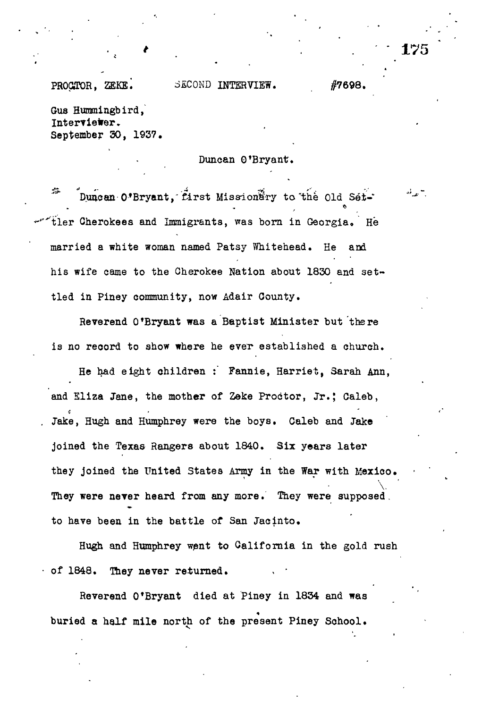## PROCTOR, ZEKE. SECOND INTERVIEW. #7698.

Gus Hummingbird, Interviewer. September 30, 1937.

Duncan 0'Bryant.

蒜 Duncan O'Bryant, first Missionary to the Old Settler Cherokees and Immigrants, was born in Georgia. He married a white woman named Patsy Whitehead. He and his wife came to the Cherokee Nation about 1830 and set~ tied in Piney community, now Adair County.

Reverend 0'Bryant was a Baptist Minister but there is no record to show where he ever established a church.

He had eight children : Fannie, Harriet, Sarah Ann, and Eliza Jane, the mother of Zeke Proctor, Jr.; Caleb, . Jake, Hugh and Humphrey were the boys. Caleb and Jake joined the Texas Rangers about 1840. Six years later they joined the United States Army in the War with Mexico. \. They were never heard from any more. They were supposed. to have been in the battle of San Jacinto.

Hugh and Humphrey went to California in the gold rush • of 1848. They never returned. . •

Reverend O'Bryant died at Piney in 1834 and was « buried a half mile north of the present Piney School.

175